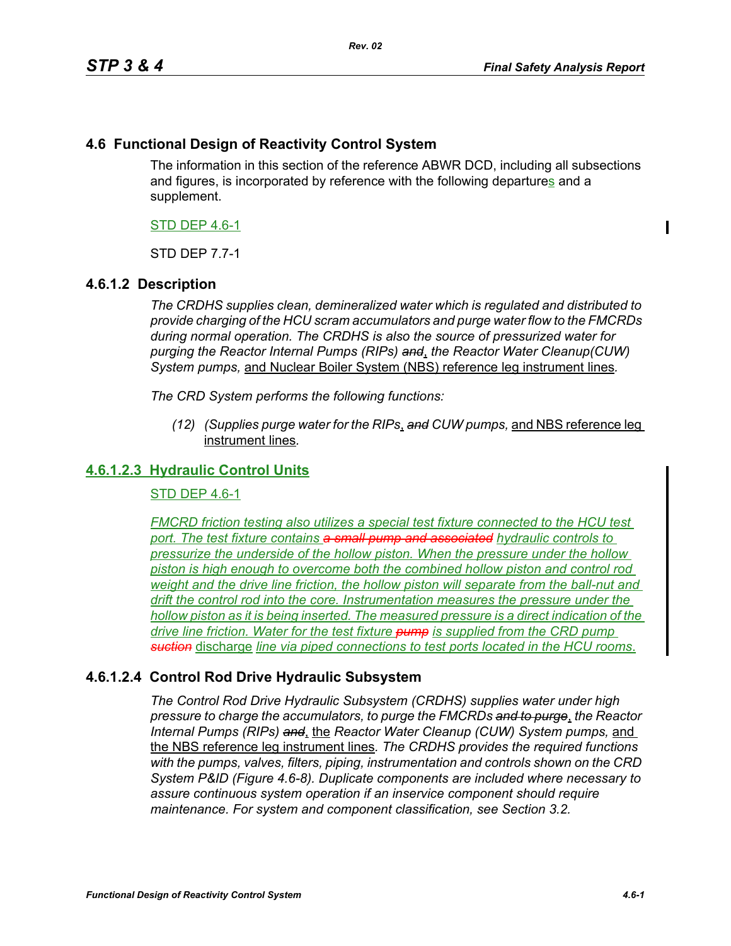$\blacksquare$ 

## **4.6 Functional Design of Reactivity Control System**

The information in this section of the reference ABWR DCD, including all subsections and figures, is incorporated by reference with the following departures and a supplement.

### STD DEP 4.6-1

STD DEP 7.7-1

## **4.6.1.2 Description**

*The CRDHS supplies clean, demineralized water which is regulated and distributed to provide charging of the HCU scram accumulators and purge water flow to the FMCRDs during normal operation. The CRDHS is also the source of pressurized water for purging the Reactor Internal Pumps (RIPs) and*, *the Reactor Water Cleanup(CUW) System pumps,* and Nuclear Boiler System (NBS) reference leg instrument lines*.*

*The CRD System performs the following functions:*

*(12) (Supplies purge water for the RIPs*, *and CUW pumps,* and NBS reference leg instrument lines*.*

## **4.6.1.2.3 Hydraulic Control Units**

#### STD DEP 4.6-1

*FMCRD friction testing also utilizes a special test fixture connected to the HCU test port. The test fixture contains a small pump and associated hydraulic controls to pressurize the underside of the hollow piston. When the pressure under the hollow piston is high enough to overcome both the combined hollow piston and control rod weight and the drive line friction, the hollow piston will separate from the ball-nut and drift the control rod into the core. Instrumentation measures the pressure under the hollow piston as it is being inserted. The measured pressure is a direct indication of the drive line friction. Water for the test fixture pump is supplied from the CRD pump suction* discharge *line via piped connections to test ports located in the HCU rooms*.

## **4.6.1.2.4 Control Rod Drive Hydraulic Subsystem**

*The Control Rod Drive Hydraulic Subsystem (CRDHS) supplies water under high pressure to charge the accumulators, to purge the FMCRDs and to purge*, *the Reactor Internal Pumps (RIPs) and*, the *Reactor Water Cleanup (CUW) System pumps,* and the NBS reference leg instrument lines*. The CRDHS provides the required functions with the pumps, valves, filters, piping, instrumentation and controls shown on the CRD System P&ID (Figure 4.6-8). Duplicate components are included where necessary to assure continuous system operation if an inservice component should require maintenance. For system and component classification, see Section 3.2.*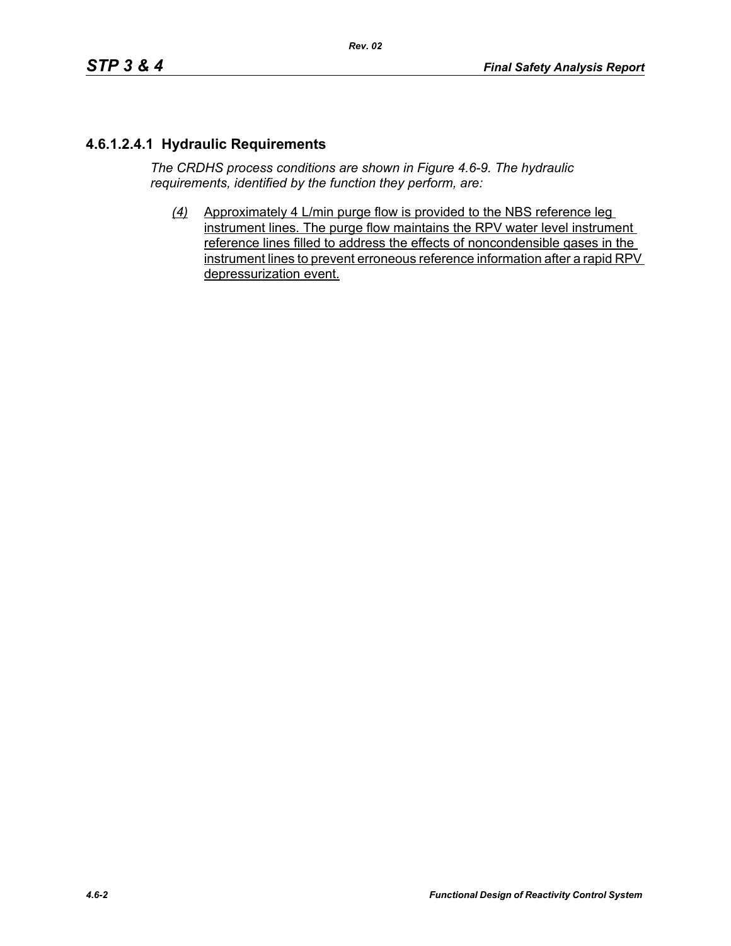# **4.6.1.2.4.1 Hydraulic Requirements**

*The CRDHS process conditions are shown in Figure 4.6-9. The hydraulic requirements, identified by the function they perform, are:*

*(4)* Approximately 4 L/min purge flow is provided to the NBS reference leg instrument lines. The purge flow maintains the RPV water level instrument reference lines filled to address the effects of noncondensible gases in the instrument lines to prevent erroneous reference information after a rapid RPV depressurization event.